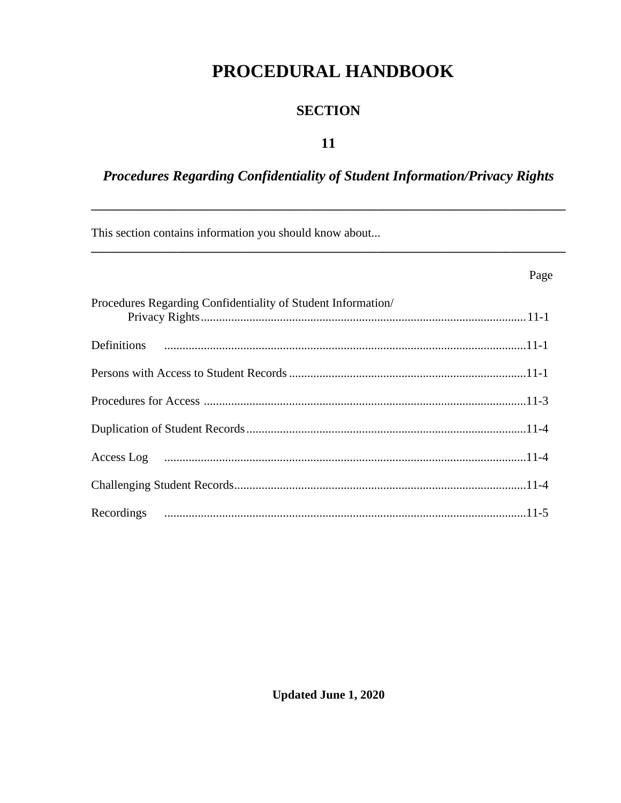# PROCEDURAL HANDBOOK

## **SECTION**

### 11

## Procedures Regarding Confidentiality of Student Information/Privacy Rights

Page

This section contains information you should know about...

| Procedures Regarding Confidentiality of Student Information/ |
|--------------------------------------------------------------|
|                                                              |
|                                                              |
|                                                              |
|                                                              |
|                                                              |
|                                                              |
|                                                              |

**Updated June 1, 2020**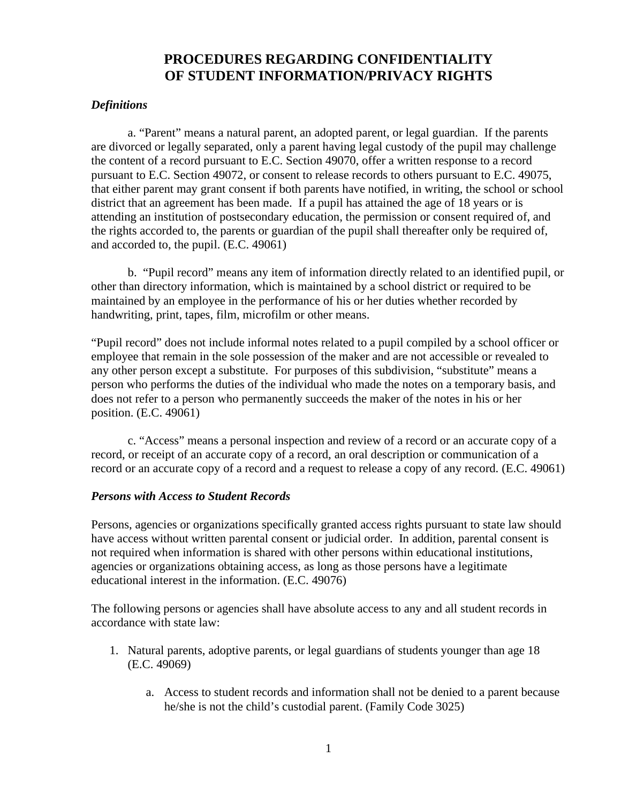## **PROCEDURES REGARDING CONFIDENTIALITY OF STUDENT INFORMATION/PRIVACY RIGHTS**

#### *Definitions*

a. "Parent" means a natural parent, an adopted parent, or legal guardian. If the parents are divorced or legally separated, only a parent having legal custody of the pupil may challenge the content of a record pursuant to E.C. Section 49070, offer a written response to a record pursuant to E.C. Section 49072, or consent to release records to others pursuant to E.C. 49075, that either parent may grant consent if both parents have notified, in writing, the school or school district that an agreement has been made. If a pupil has attained the age of 18 years or is attending an institution of postsecondary education, the permission or consent required of, and the rights accorded to, the parents or guardian of the pupil shall thereafter only be required of, and accorded to, the pupil. (E.C. 49061)

b. "Pupil record" means any item of information directly related to an identified pupil, or other than directory information, which is maintained by a school district or required to be maintained by an employee in the performance of his or her duties whether recorded by handwriting, print, tapes, film, microfilm or other means.

"Pupil record" does not include informal notes related to a pupil compiled by a school officer or employee that remain in the sole possession of the maker and are not accessible or revealed to any other person except a substitute. For purposes of this subdivision, "substitute" means a person who performs the duties of the individual who made the notes on a temporary basis, and does not refer to a person who permanently succeeds the maker of the notes in his or her position. (E.C. 49061)

c. "Access" means a personal inspection and review of a record or an accurate copy of a record, or receipt of an accurate copy of a record, an oral description or communication of a record or an accurate copy of a record and a request to release a copy of any record. (E.C. 49061)

#### *Persons with Access to Student Records*

Persons, agencies or organizations specifically granted access rights pursuant to state law should have access without written parental consent or judicial order. In addition, parental consent is not required when information is shared with other persons within educational institutions, agencies or organizations obtaining access, as long as those persons have a legitimate educational interest in the information. (E.C. 49076)

The following persons or agencies shall have absolute access to any and all student records in accordance with state law:

- 1. Natural parents, adoptive parents, or legal guardians of students younger than age 18 (E.C. 49069)
	- a. Access to student records and information shall not be denied to a parent because he/she is not the child's custodial parent. (Family Code 3025)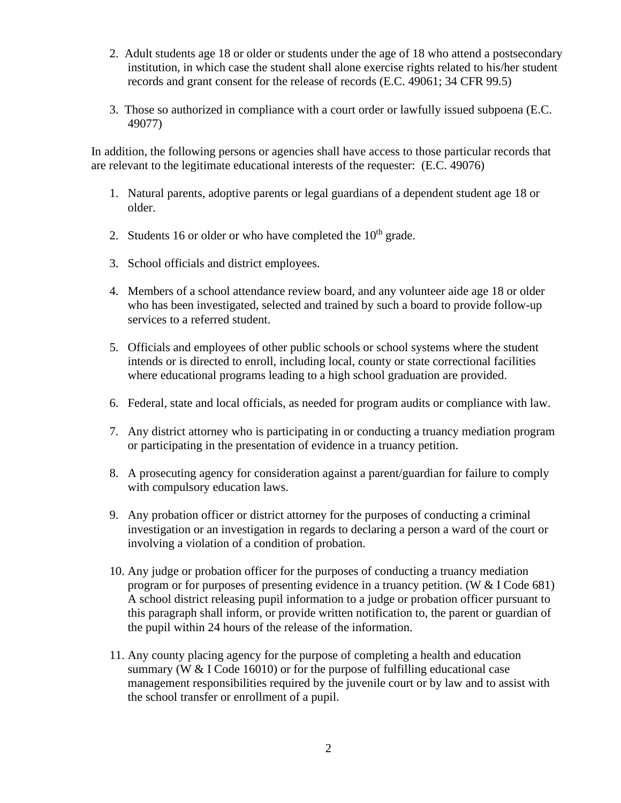- 2. Adult students age 18 or older or students under the age of 18 who attend a postsecondary institution, in which case the student shall alone exercise rights related to his/her student records and grant consent for the release of records (E.C. 49061; 34 CFR 99.5)
- 3. Those so authorized in compliance with a court order or lawfully issued subpoena (E.C. 49077)

In addition, the following persons or agencies shall have access to those particular records that are relevant to the legitimate educational interests of the requester: (E.C. 49076)

- 1. Natural parents, adoptive parents or legal guardians of a dependent student age 18 or older.
- 2. Students 16 or older or who have completed the  $10<sup>th</sup>$  grade.
- 3. School officials and district employees.
- 4. Members of a school attendance review board, and any volunteer aide age 18 or older who has been investigated, selected and trained by such a board to provide follow-up services to a referred student.
- 5. Officials and employees of other public schools or school systems where the student intends or is directed to enroll, including local, county or state correctional facilities where educational programs leading to a high school graduation are provided.
- 6. Federal, state and local officials, as needed for program audits or compliance with law.
- 7. Any district attorney who is participating in or conducting a truancy mediation program or participating in the presentation of evidence in a truancy petition.
- 8. A prosecuting agency for consideration against a parent/guardian for failure to comply with compulsory education laws.
- 9. Any probation officer or district attorney for the purposes of conducting a criminal investigation or an investigation in regards to declaring a person a ward of the court or involving a violation of a condition of probation.
- 10. Any judge or probation officer for the purposes of conducting a truancy mediation program or for purposes of presenting evidence in a truancy petition. (W & I Code 681) A school district releasing pupil information to a judge or probation officer pursuant to this paragraph shall inform, or provide written notification to, the parent or guardian of the pupil within 24 hours of the release of the information.
- 11. Any county placing agency for the purpose of completing a health and education summary (W  $&$  I Code 16010) or for the purpose of fulfilling educational case management responsibilities required by the juvenile court or by law and to assist with the school transfer or enrollment of a pupil.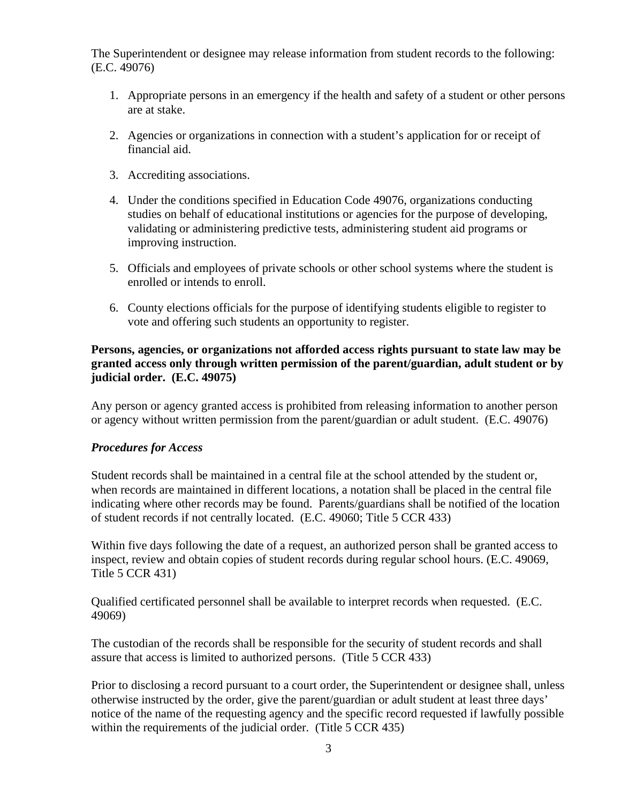The Superintendent or designee may release information from student records to the following: (E.C. 49076)

- 1. Appropriate persons in an emergency if the health and safety of a student or other persons are at stake.
- 2. Agencies or organizations in connection with a student's application for or receipt of financial aid.
- 3. Accrediting associations.
- 4. Under the conditions specified in Education Code 49076, organizations conducting studies on behalf of educational institutions or agencies for the purpose of developing, validating or administering predictive tests, administering student aid programs or improving instruction.
- 5. Officials and employees of private schools or other school systems where the student is enrolled or intends to enroll.
- 6. County elections officials for the purpose of identifying students eligible to register to vote and offering such students an opportunity to register.

#### **Persons, agencies, or organizations not afforded access rights pursuant to state law may be granted access only through written permission of the parent/guardian, adult student or by judicial order. (E.C. 49075)**

Any person or agency granted access is prohibited from releasing information to another person or agency without written permission from the parent/guardian or adult student. (E.C. 49076)

#### *Procedures for Access*

Student records shall be maintained in a central file at the school attended by the student or, when records are maintained in different locations, a notation shall be placed in the central file indicating where other records may be found. Parents/guardians shall be notified of the location of student records if not centrally located. (E.C. 49060; Title 5 CCR 433)

Within five days following the date of a request, an authorized person shall be granted access to inspect, review and obtain copies of student records during regular school hours. (E.C. 49069, Title 5 CCR 431)

Qualified certificated personnel shall be available to interpret records when requested. (E.C. 49069)

The custodian of the records shall be responsible for the security of student records and shall assure that access is limited to authorized persons. (Title 5 CCR 433)

Prior to disclosing a record pursuant to a court order, the Superintendent or designee shall, unless otherwise instructed by the order, give the parent/guardian or adult student at least three days' notice of the name of the requesting agency and the specific record requested if lawfully possible within the requirements of the judicial order. (Title 5 CCR 435)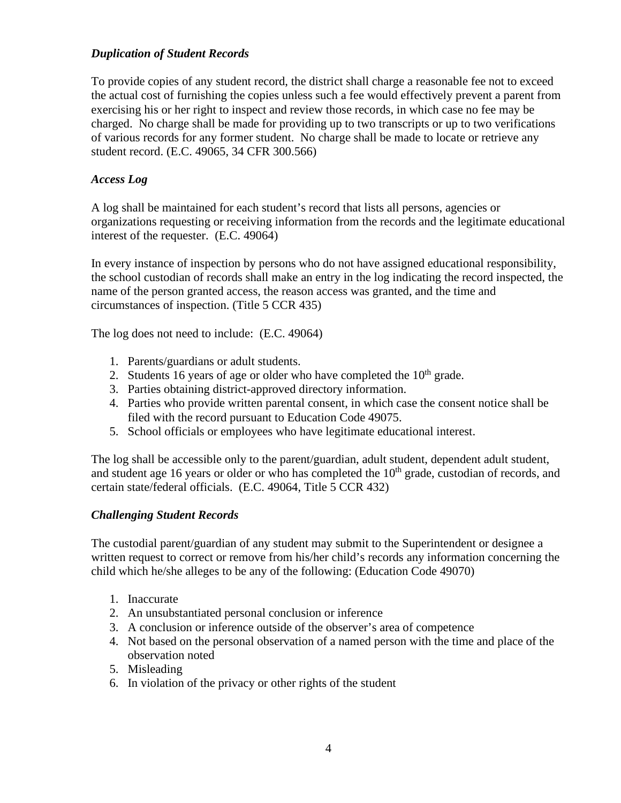#### *Duplication of Student Records*

To provide copies of any student record, the district shall charge a reasonable fee not to exceed the actual cost of furnishing the copies unless such a fee would effectively prevent a parent from exercising his or her right to inspect and review those records, in which case no fee may be charged. No charge shall be made for providing up to two transcripts or up to two verifications of various records for any former student. No charge shall be made to locate or retrieve any student record. (E.C. 49065, 34 CFR 300.566)

#### *Access Log*

A log shall be maintained for each student's record that lists all persons, agencies or organizations requesting or receiving information from the records and the legitimate educational interest of the requester. (E.C. 49064)

In every instance of inspection by persons who do not have assigned educational responsibility, the school custodian of records shall make an entry in the log indicating the record inspected, the name of the person granted access, the reason access was granted, and the time and circumstances of inspection. (Title 5 CCR 435)

The log does not need to include: (E.C. 49064)

- 1. Parents/guardians or adult students.
- 2. Students 16 years of age or older who have completed the  $10<sup>th</sup>$  grade.
- 3. Parties obtaining district-approved directory information.
- 4. Parties who provide written parental consent, in which case the consent notice shall be filed with the record pursuant to Education Code 49075.
- 5. School officials or employees who have legitimate educational interest.

The log shall be accessible only to the parent/guardian, adult student, dependent adult student, and student age 16 years or older or who has completed the  $10<sup>th</sup>$  grade, custodian of records, and certain state/federal officials. (E.C. 49064, Title 5 CCR 432)

#### *Challenging Student Records*

The custodial parent/guardian of any student may submit to the Superintendent or designee a written request to correct or remove from his/her child's records any information concerning the child which he/she alleges to be any of the following: (Education Code 49070)

- 1. Inaccurate
- 2. An unsubstantiated personal conclusion or inference
- 3. A conclusion or inference outside of the observer's area of competence
- 4. Not based on the personal observation of a named person with the time and place of the observation noted
- 5. Misleading
- 6. In violation of the privacy or other rights of the student